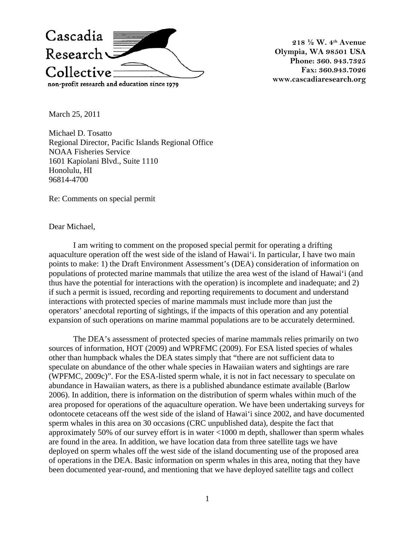

**218 ½ W. 4th Avenue Olympia, WA 98501 USA Phone: 360. 943.7325 Fax: 360.943.7026 www.cascadiaresearch.org** 

March 25, 2011

Michael D. Tosatto Regional Director, Pacific Islands Regional Office NOAA Fisheries Service 1601 Kapiolani Blvd., Suite 1110 Honolulu, HI 96814-4700

Re: Comments on special permit

Dear Michael,

I am writing to comment on the proposed special permit for operating a drifting aquaculture operation off the west side of the island of Hawai'i. In particular, I have two main points to make: 1) the Draft Environment Assessment's (DEA) consideration of information on populations of protected marine mammals that utilize the area west of the island of Hawai'i (and thus have the potential for interactions with the operation) is incomplete and inadequate; and 2) if such a permit is issued, recording and reporting requirements to document and understand interactions with protected species of marine mammals must include more than just the operators' anecdotal reporting of sightings, if the impacts of this operation and any potential expansion of such operations on marine mammal populations are to be accurately determined.

The DEA's assessment of protected species of marine mammals relies primarily on two sources of information, HOT (2009) and WPRFMC (2009). For ESA listed species of whales other than humpback whales the DEA states simply that "there are not sufficient data to speculate on abundance of the other whale species in Hawaiian waters and sightings are rare (WPFMC, 2009c)". For the ESA-listed sperm whale, it is not in fact necessary to speculate on abundance in Hawaiian waters, as there is a published abundance estimate available (Barlow 2006). In addition, there is information on the distribution of sperm whales within much of the area proposed for operations of the aquaculture operation. We have been undertaking surveys for odontocete cetaceans off the west side of the island of Hawai'i since 2002, and have documented sperm whales in this area on 30 occasions (CRC unpublished data), despite the fact that approximately 50% of our survey effort is in water <1000 m depth, shallower than sperm whales are found in the area. In addition, we have location data from three satellite tags we have deployed on sperm whales off the west side of the island documenting use of the proposed area of operations in the DEA. Basic information on sperm whales in this area, noting that they have been documented year-round, and mentioning that we have deployed satellite tags and collect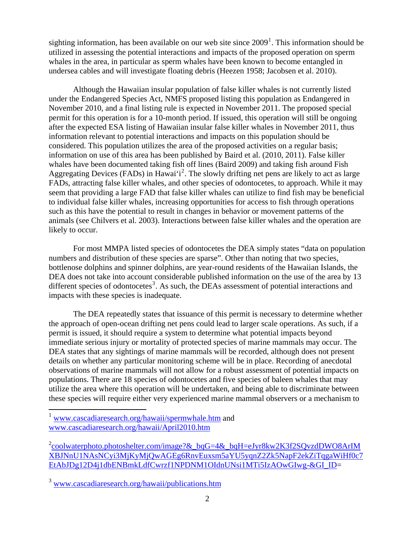sighting information, has been available on our web site since  $2009<sup>1</sup>$  $2009<sup>1</sup>$  $2009<sup>1</sup>$ . This information should be utilized in assessing the potential interactions and impacts of the proposed operation on sperm whales in the area, in particular as sperm whales have been known to become entangled in undersea cables and will investigate floating debris (Heezen 1958; Jacobsen et al. 2010).

Although the Hawaiian insular population of false killer whales is not currently listed under the Endangered Species Act, NMFS proposed listing this population as Endangered in November 2010, and a final listing rule is expected in November 2011. The proposed special permit for this operation is for a 10-month period. If issued, this operation will still be ongoing after the expected ESA listing of Hawaiian insular false killer whales in November 2011, thus information relevant to potential interactions and impacts on this population should be considered. This population utilizes the area of the proposed activities on a regular basis; information on use of this area has been published by Baird et al. (2010, 2011). False killer whales have been documented taking fish off lines (Baird 2009) and taking fish around Fish Aggregating Devices (FADs) in Hawai'i<sup>[2](#page-1-1)</sup>. The slowly drifting net pens are likely to act as large FADs, attracting false killer whales, and other species of odontocetes, to approach. While it may seem that providing a large FAD that false killer whales can utilize to find fish may be beneficial to individual false killer whales, increasing opportunities for access to fish through operations such as this have the potential to result in changes in behavior or movement patterns of the animals (see Chilvers et al. 2003). Interactions between false killer whales and the operation are likely to occur.

For most MMPA listed species of odontocetes the DEA simply states "data on population numbers and distribution of these species are sparse". Other than noting that two species, bottlenose dolphins and spinner dolphins, are year-round residents of the Hawaiian Islands, the DEA does not take into account considerable published information on the use of the area by 13 different species of odontocetes<sup>[3](#page-1-2)</sup>. As such, the DEAs assessment of potential interactions and impacts with these species is inadequate.

The DEA repeatedly states that issuance of this permit is necessary to determine whether the approach of open-ocean drifting net pens could lead to larger scale operations. As such, if a permit is issued, it should require a system to determine what potential impacts beyond immediate serious injury or mortality of protected species of marine mammals may occur. The DEA states that any sightings of marine mammals will be recorded, although does not present details on whether any particular monitoring scheme will be in place. Recording of anecdotal observations of marine mammals will not allow for a robust assessment of potential impacts on populations. There are 18 species of odontocetes and five species of baleen whales that may utilize the area where this operation will be undertaken, and being able to discriminate between these species will require either very experienced marine mammal observers or a mechanism to

 $\overline{a}$ 

<span id="page-1-0"></span><sup>&</sup>lt;sup>1</sup> [www.cascadiaresearch.org/hawaii/spermwhale.htm](http://www.cascadiaresearch.org/hawaii/spermwhale.htm) and [www.cascadiaresearch.org/hawaii/April2010.htm](http://www.cascadiaresearch.org/hawaii/April2010.htm)

<span id="page-1-1"></span><sup>&</sup>lt;sup>2</sup>[coolwaterphoto.photoshelter.com/image?&\\_bqG=4&\\_bqH=eJyr8kw2K3f2SQvzdDWO8ArIM](http://coolwaterphoto.photoshelter.com/image?&_bqG=4&_bqH=eJyr8kw2K3f2SQvzdDWO8ArIMXBJNnU1NAsNCyi3MjKyMjQwAGEg6RnvEuxsm5aYU5yqnZ2Zk5NapF2ekZiTqgaWiHf0c7EtAbJDg12D4j1dbENBmkLdfCwrzf1NPDNM1OIdnUNsi1MTi5IzAOwGIwg-&GI_ID) [XBJNnU1NAsNCyi3MjKyMjQwAGEg6RnvEuxsm5aYU5yqnZ2Zk5NapF2ekZiTqgaWiHf0c7](http://coolwaterphoto.photoshelter.com/image?&_bqG=4&_bqH=eJyr8kw2K3f2SQvzdDWO8ArIMXBJNnU1NAsNCyi3MjKyMjQwAGEg6RnvEuxsm5aYU5yqnZ2Zk5NapF2ekZiTqgaWiHf0c7EtAbJDg12D4j1dbENBmkLdfCwrzf1NPDNM1OIdnUNsi1MTi5IzAOwGIwg-&GI_ID) [EtAbJDg12D4j1dbENBmkLdfCwrzf1NPDNM1OIdnUNsi1MTi5IzAOwGIwg-&GI\\_ID](http://coolwaterphoto.photoshelter.com/image?&_bqG=4&_bqH=eJyr8kw2K3f2SQvzdDWO8ArIMXBJNnU1NAsNCyi3MjKyMjQwAGEg6RnvEuxsm5aYU5yqnZ2Zk5NapF2ekZiTqgaWiHf0c7EtAbJDg12D4j1dbENBmkLdfCwrzf1NPDNM1OIdnUNsi1MTi5IzAOwGIwg-&GI_ID)=

<span id="page-1-2"></span><sup>3</sup> [www.cascadiaresearch.org/hawaii/publications.htm](http://www.cascadiaresearch.org/hawaii/publications.htm)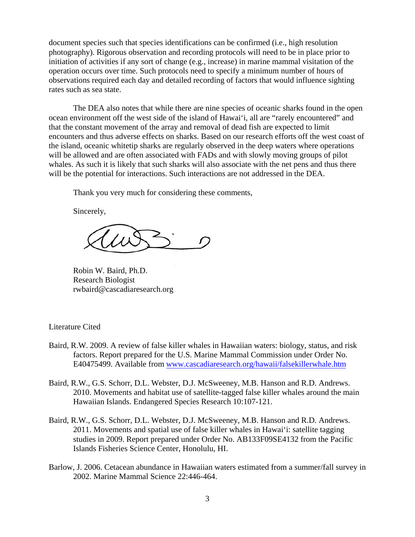document species such that species identifications can be confirmed (i.e., high resolution photography). Rigorous observation and recording protocols will need to be in place prior to initiation of activities if any sort of change (e.g., increase) in marine mammal visitation of the operation occurs over time. Such protocols need to specify a minimum number of hours of observations required each day and detailed recording of factors that would influence sighting rates such as sea state.

The DEA also notes that while there are nine species of oceanic sharks found in the open ocean environment off the west side of the island of Hawai'i, all are "rarely encountered" and that the constant movement of the array and removal of dead fish are expected to limit encounters and thus adverse effects on sharks. Based on our research efforts off the west coast of the island, oceanic whitetip sharks are regularly observed in the deep waters where operations will be allowed and are often associated with FADs and with slowly moving groups of pilot whales. As such it is likely that such sharks will also associate with the net pens and thus there will be the potential for interactions. Such interactions are not addressed in the DEA.

Thank you very much for considering these comments,

Sincerely,

Robin W. Baird, Ph.D. Research Biologist rwbaird@cascadiaresearch.org

## Literature Cited

- Baird, R.W. 2009. A review of false killer whales in Hawaiian waters: biology, status, and risk factors. Report prepared for the U.S. Marine Mammal Commission under Order No. E40475499. Available from [www.cascadiaresearch.org/hawaii/falsekillerwhale.htm](http://www.cascadiaresearch.org/hawaii/falsekillerwhale.htm)
- Baird, R.W., G.S. Schorr, D.L. Webster, D.J. McSweeney, M.B. Hanson and R.D. Andrews. 2010. Movements and habitat use of satellite-tagged false killer whales around the main Hawaiian Islands. Endangered Species Research 10:107-121.
- Baird, R.W., G.S. Schorr, D.L. Webster, D.J. McSweeney, M.B. Hanson and R.D. Andrews. 2011. Movements and spatial use of false killer whales in Hawai'i: satellite tagging studies in 2009. Report prepared under Order No. AB133F09SE4132 from the Pacific Islands Fisheries Science Center, Honolulu, HI.
- Barlow, J. 2006. Cetacean abundance in Hawaiian waters estimated from a summer/fall survey in 2002. Marine Mammal Science 22:446-464.